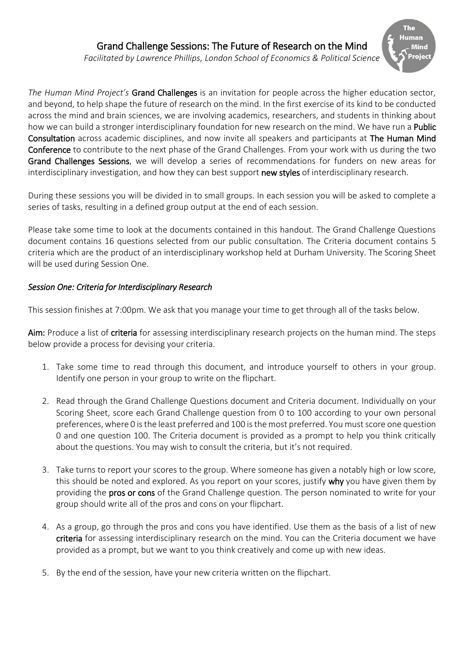## Grand Challenge Sessions: The Future of Research on the Mind

The Human

*Facilitated by Lawrence Phillips, London School of Economics & Political Science*

*The Human Mind Project's* Grand Challenges is an invitation for people across the higher education sector, and beyond, to help shape the future of research on the mind. In the first exercise of its kind to be conducted across the mind and brain sciences, we are involving academics, researchers, and students in thinking about how we can build a stronger interdisciplinary foundation for new research on the mind. We have run a **Public** Consultation across academic disciplines, and now invite all speakers and participants at The Human Mind Conference to contribute to the next phase of the Grand Challenges. From your work with us during the two Grand Challenges Sessions, we will develop a series of recommendations for funders on new areas for interdisciplinary investigation, and how they can best support new styles of interdisciplinary research.

During these sessions you will be divided in to small groups. In each session you will be asked to complete a series of tasks, resulting in a defined group output at the end of each session.

Please take some time to look at the documents contained in this handout. The Grand Challenge Questions document contains 16 questions selected from our public consultation. The Criteria document contains 5 criteria which are the product of an interdisciplinary workshop held at Durham University. The Scoring Sheet will be used during Session One.

### *Session One: Criteria for Interdisciplinary Research*

This session finishes at 7:00pm. We ask that you manage your time to get through all of the tasks below.

Aim: Produce a list of criteria for assessing interdisciplinary research projects on the human mind. The steps below provide a process for devising your criteria.

- 1. Take some time to read through this document, and introduce yourself to others in your group. Identify one person in your group to write on the flipchart.
- 2. Read through the Grand Challenge Questions document and Criteria document. Individually on your Scoring Sheet, score each Grand Challenge question from 0 to 100 according to your own personal preferences, where 0 is the least preferred and 100 is the most preferred. You must score one question 0 and one question 100. The Criteria document is provided as a prompt to help you think critically about the questions. You may wish to consult the criteria, but it's not required.
- 3. Take turns to report your scores to the group. Where someone has given a notably high or low score, this should be noted and explored. As you report on your scores, justify why you have given them by providing the pros or cons of the Grand Challenge question. The person nominated to write for your group should write all of the pros and cons on your flipchart.
- 4. As a group, go through the pros and cons you have identified. Use them as the basis of a list of new criteria for assessing interdisciplinary research on the mind. You can the Criteria document we have provided as a prompt, but we want to you think creatively and come up with new ideas.
- 5. By the end of the session, have your new criteria written on the flipchart.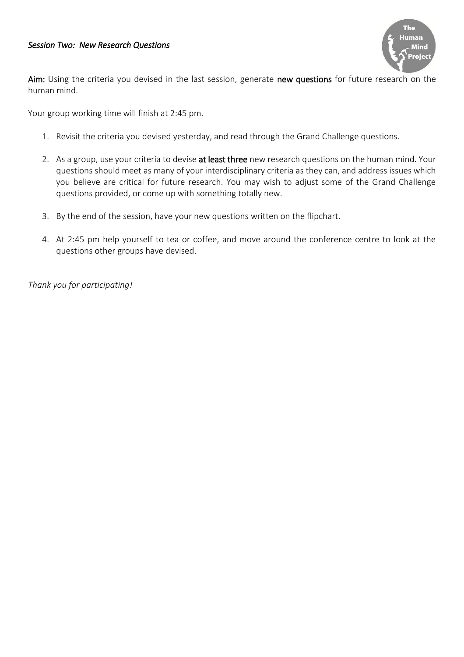#### *Session Two: New Research Questions*



Aim: Using the criteria you devised in the last session, generate new questions for future research on the human mind.

Your group working time will finish at 2:45 pm.

- 1. Revisit the criteria you devised yesterday, and read through the Grand Challenge questions.
- 2. As a group, use your criteria to devise at least three new research questions on the human mind. Your questions should meet as many of your interdisciplinary criteria as they can, and address issues which you believe are critical for future research. You may wish to adjust some of the Grand Challenge questions provided, or come up with something totally new.
- 3. By the end of the session, have your new questions written on the flipchart.
- 4. At 2:45 pm help yourself to tea or coffee, and move around the conference centre to look at the questions other groups have devised.

*Thank you for participating!*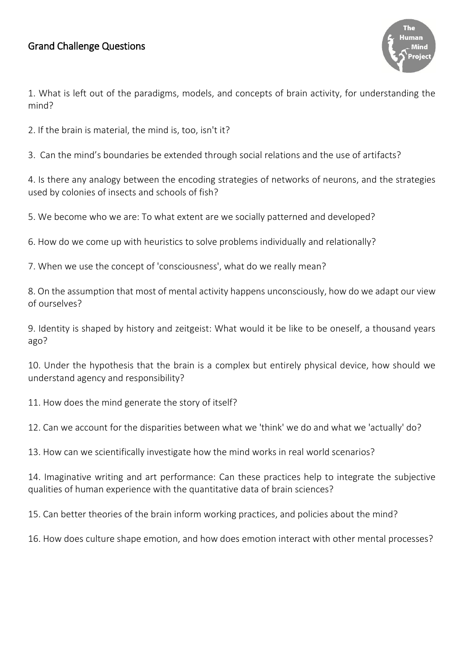# Grand Challenge Questions



1. What is left out of the paradigms, models, and concepts of brain activity, for understanding the mind?

2. If the brain is material, the mind is, too, isn't it?

3. Can the mind's boundaries be extended through social relations and the use of artifacts?

4. Is there any analogy between the encoding strategies of networks of neurons, and the strategies used by colonies of insects and schools of fish?

5. We become who we are: To what extent are we socially patterned and developed?

6. How do we come up with heuristics to solve problems individually and relationally?

7. When we use the concept of 'consciousness', what do we really mean?

8. On the assumption that most of mental activity happens unconsciously, how do we adapt our view of ourselves?

9. Identity is shaped by history and zeitgeist: What would it be like to be oneself, a thousand years ago?

10. Under the hypothesis that the brain is a complex but entirely physical device, how should we understand agency and responsibility?

11. How does the mind generate the story of itself?

12. Can we account for the disparities between what we 'think' we do and what we 'actually' do?

13. How can we scientifically investigate how the mind works in real world scenarios?

14. Imaginative writing and art performance: Can these practices help to integrate the subjective qualities of human experience with the quantitative data of brain sciences?

15. Can better theories of the brain inform working practices, and policies about the mind?

16. How does culture shape emotion, and how does emotion interact with other mental processes?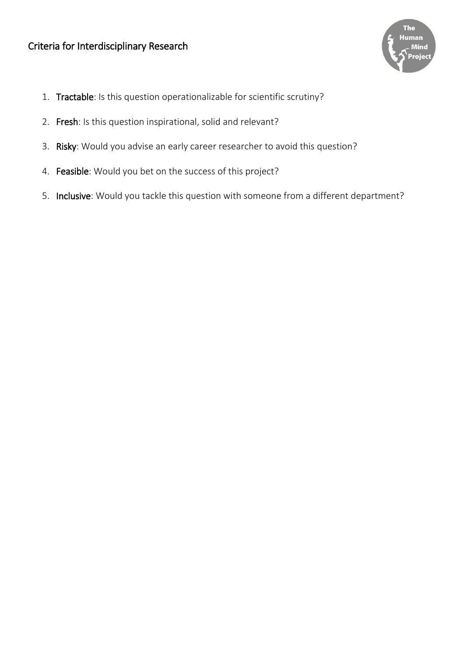

- 1. Tractable: Is this question operationalizable for scientific scrutiny?
- 2. Fresh: Is this question inspirational, solid and relevant?
- 3. Risky: Would you advise an early career researcher to avoid this question?
- 4. Feasible: Would you bet on the success of this project?
- 5. Inclusive: Would you tackle this question with someone from a different department?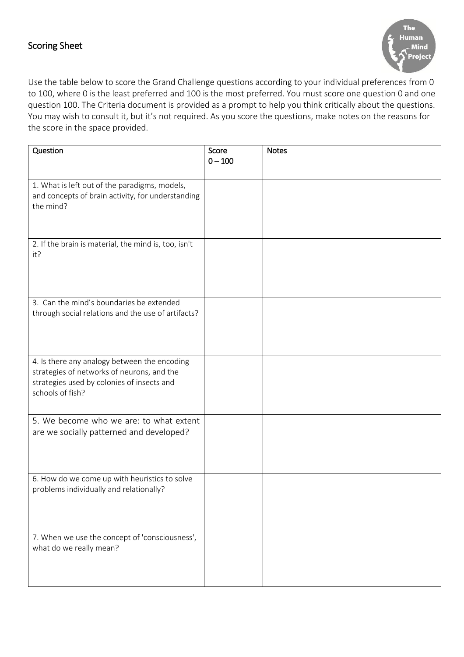### Scoring Sheet



Use the table below to score the Grand Challenge questions according to your individual preferences from 0 to 100, where 0 is the least preferred and 100 is the most preferred. You must score one question 0 and one question 100. The Criteria document is provided as a prompt to help you think critically about the questions. You may wish to consult it, but it's not required. As you score the questions, make notes on the reasons for the score in the space provided.

| Question                                                                                                                                                     | Score<br>$0 - 100$ | <b>Notes</b> |
|--------------------------------------------------------------------------------------------------------------------------------------------------------------|--------------------|--------------|
| 1. What is left out of the paradigms, models,<br>and concepts of brain activity, for understanding<br>the mind?                                              |                    |              |
| 2. If the brain is material, the mind is, too, isn't<br>it?                                                                                                  |                    |              |
| 3. Can the mind's boundaries be extended<br>through social relations and the use of artifacts?                                                               |                    |              |
| 4. Is there any analogy between the encoding<br>strategies of networks of neurons, and the<br>strategies used by colonies of insects and<br>schools of fish? |                    |              |
| 5. We become who we are: to what extent<br>are we socially patterned and developed?                                                                          |                    |              |
| 6. How do we come up with heuristics to solve<br>problems individually and relationally?                                                                     |                    |              |
| 7. When we use the concept of 'consciousness',<br>what do we really mean?                                                                                    |                    |              |